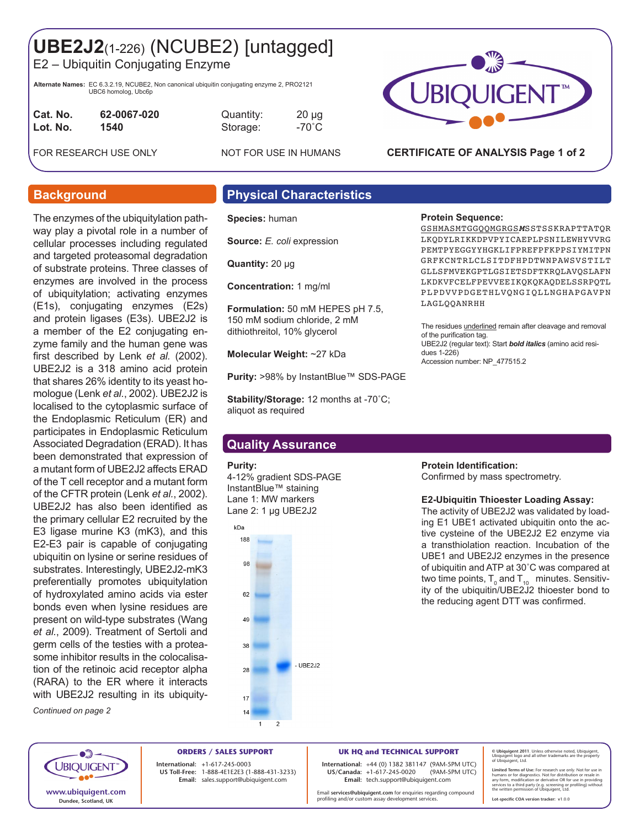# **UBE2J2**(1-226) (NCUBE2) [untagged]

E2 – Ubiquitin Conjugating Enzyme

**Alternate Names:** EC 6.3.2.19, NCUBE2, Non canonical ubiquitin conjugating enzyme 2, PRO2121 UBC6 homolog, Ubc6p

| Cat. No. | 62-0067-020 |
|----------|-------------|
| Lot. No. | 1540        |
|          |             |

**Cat. No. 62-0067-020** Quantity: 20 µg **Lot. No. 1540** Storage: -70˚C

FOR RESEARCH USE ONLY NOT FOR USE IN HUMANS



# **CERTIFICATE OF ANALYSIS Page 1 of 2**

The enzymes of the ubiquitylation pathway play a pivotal role in a number of cellular processes including regulated and targeted proteasomal degradation of substrate proteins. Three classes of enzymes are involved in the process of ubiquitylation; activating enzymes (E1s), conjugating enzymes (E2s) and protein ligases (E3s). UBE2J2 is a member of the E2 conjugating enzyme family and the human gene was first described by Lenk *et al.* (2002). UBE2J2 is a 318 amino acid protein that shares 26% identity to its yeast homologue (Lenk *et al.*, 2002). UBE2J2 is localised to the cytoplasmic surface of the Endoplasmic Reticulum (ER) and participates in Endoplasmic Reticulum Associated Degradation (ERAD). It has been demonstrated that expression of a mutant form of UBE2J2 affects ERAD of the T cell receptor and a mutant form of the CFTR protein (Lenk *et al.*, 2002). UBE2J2 has also been identified as the primary cellular E2 recruited by the E3 ligase murine K3 (mK3), and this E2-E3 pair is capable of conjugating ubiquitin on lysine or serine residues of substrates. Interestingly, UBE2J2-mK3 preferentially promotes ubiquitylation of hydroxylated amino acids via ester bonds even when lysine residues are present on wild-type substrates (Wang *et al.*, 2009). Treatment of Sertoli and germ cells of the testies with a proteasome inhibitor results in the colocalisation of the retinoic acid receptor alpha (RARA) to the ER where it interacts with UBE2J2 resulting in its ubiquity-

*Continued on page 2*

# **Background Physical Characteristics**

**Species:** human

**Source:** *E. coli* expression

**Quantity:** 20 μg

**Concentration:** 1 mg/ml

**Formulation:** 50 mM HEPES pH 7.5, 150 mM sodium chloride, 2 mM dithiothreitol, 10% glycerol

**Molecular Weight:** ~27 kDa

**Purity:** >98% by InstantBlue™ SDS-PAGE

**Stability/Storage:** 12 months at -70˚C; aliquot as required

# **Quality Assurance**

### **Purity:**

4-12% gradient SDS-PAGE InstantBlue™ staining Lane 1: MW markers Lane 2: 1 µg UBE2J2



# **Protein Sequence:** GSHMASMTGGQQMGRGS*M*SSTSSKRAPTTATQR

LKQDYLRIKKDPVPYICAEPLPSNILEWHYVVRG PEMTPYEGGYYHGKLIFPREFPFKPPSIYMITPN GRFKCNTRLCLSITDFHPDTWNPAWSVSTILT GLLSFMVEKGPTLGSIETSDFTKRQLAVQSLAFN LKDKVFCELFPEVVEEIKQKQKAQDELSSRPQTL PLPDVVPDGETHLVQNGIQLLNGHAPGAVPN LAGLQQANRHH

The residues *underlined* remain after cleavage and removal of the purification tag. UBE2J2 (regular text): Start *bold italics* (amino acid residues 1-226) Accession number: NP\_477515.2

### **Protein Identification:**

Confirmed by mass spectrometry.

### **E2-Ubiquitin Thioester Loading Assay:**

The activity of UBE2J2 was validated by loading E1 UBE1 activated ubiquitin onto the active cysteine of the UBE2J2 E2 enzyme via a transthiolation reaction. Incubation of the UBE1 and UBE2J2 enzymes in the presence of ubiquitin and ATP at 30˚C was compared at two time points,  ${\sf T}_{\scriptscriptstyle 0}$  and  ${\sf T}_{\scriptscriptstyle 10}^{}$  minutes. Sensitivity of the ubiquitin/UBE2J2 thioester bond to the reducing agent DTT was confirmed.



**ORDERS / SALES SUPPORT International: +**1-617-245-0003 **US Toll-Free:** 1-888-4E1E2E3 (1-888-431-3233) **Email:** sales.support@ubiquigent.com

**UK HQ and TECHNICAL SUPPORT**

**International:** +44 (0) 1382 381147 (9AM-5PM UTC) **US/Canada:** +1-617-245-0020 **Email:** tech.support@ubiquigent.com

Email **services@ubiquigent.com** for enquiries regarding compound profiling and/or custom assay development services.

**© Ubiquigent 2011**. Unless otherwise noted, Ubiquigent, Ubiquigent logo and all other trademarks are the property of Ubiquigent, Ltd.

**Lot-specific COA version tracker: v**1.0.0

Limited Terms of Use: For research use only. Not for use in<br>humans or for diagnostics. Not for distribution or resale in<br>any form, modification or derivative OR for use in providing<br>services to a third party (e.g. screenin